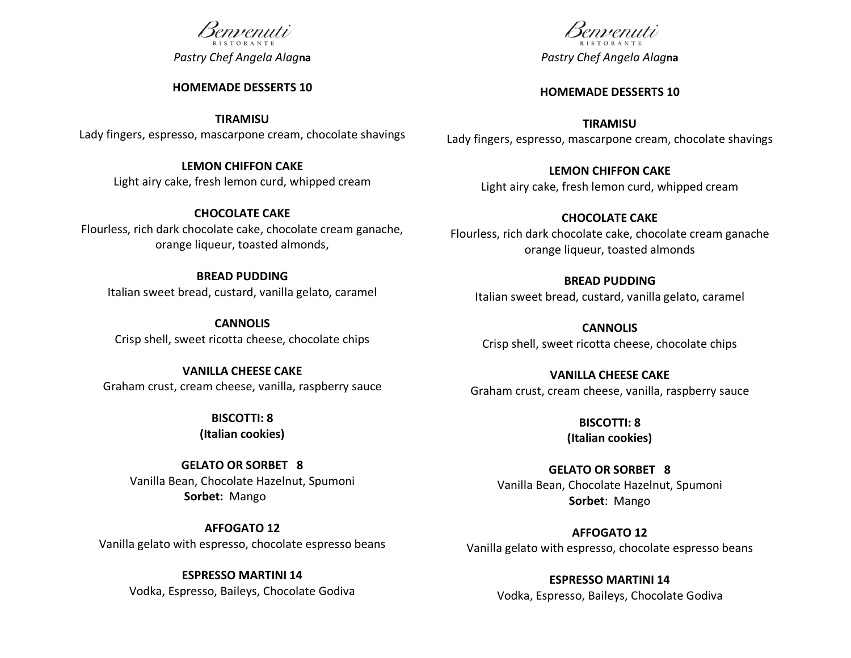# semeenuti

*Pastry Chef Angela Alag***na**

#### **HOMEMADE DESSERTS 10**

**TIRAMISU**

Lady fingers, espresso, mascarpone cream, chocolate shavings

## **LEMON CHIFFON CAKE**

Light airy cake, fresh lemon curd, whipped cream

## **CHOCOLATE CAKE**

Flourless, rich dark chocolate cake, chocolate cream ganache, orange liqueur, toasted almonds,

## **BREAD PUDDING**

Italian sweet bread, custard, vanilla gelato, caramel

**CANNOLIS** Crisp shell, sweet ricotta cheese, chocolate chips

## **VANILLA CHEESE CAKE**

Graham crust, cream cheese, vanilla, raspberry sauce

## **BISCOTTI: 8**

**(Italian cookies)**

## **GELATO OR SORBET 8** Vanilla Bean, Chocolate Hazelnut, Spumoni **Sorbet:** Mango

**AFFOGATO 12** Vanilla gelato with espresso, chocolate espresso beans

## **ESPRESSO MARTINI 14**

Vodka, Espresso, Baileys, Chocolate Godiva

semienuti *Pastry Chef Angela Alag***na**

#### **HOMEMADE DESSERTS 10**

**TIRAMISU** Lady fingers, espresso, mascarpone cream, chocolate shavings

## **LEMON CHIFFON CAKE**

Light airy cake, fresh lemon curd, whipped cream

## **CHOCOLATE CAKE**

Flourless, rich dark chocolate cake, chocolate cream ganache orange liqueur, toasted almonds

## **BREAD PUDDING**

Italian sweet bread, custard, vanilla gelato, caramel

**CANNOLIS** Crisp shell, sweet ricotta cheese, chocolate chips

**VANILLA CHEESE CAKE** Graham crust, cream cheese, vanilla, raspberry sauce

> **BISCOTTI: 8 (Italian cookies)**

**GELATO OR SORBET 8** Vanilla Bean, Chocolate Hazelnut, Spumoni **Sorbet**: Mango

**AFFOGATO 12** Vanilla gelato with espresso, chocolate espresso beans

> **ESPRESSO MARTINI 14** Vodka, Espresso, Baileys, Chocolate Godiva